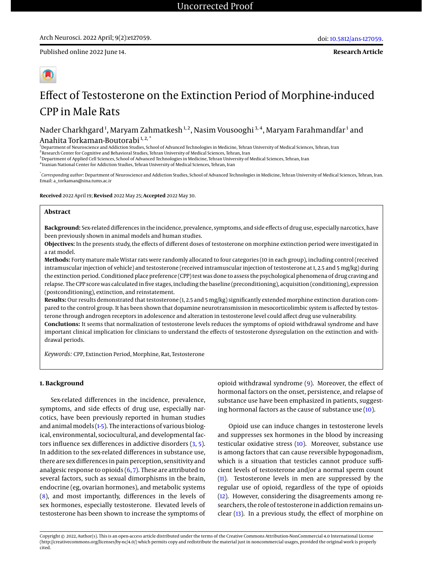**Research Article**



# Effect of Testosterone on the Extinction Period of Morphine-induced CPP in Male Rats

Nader Charkhgard<sup>1</sup>, Maryam Zahmatkesh<sup>1,2</sup>, Nasim Vousooghi<sup>3,4</sup>, Maryam Farahmandfar<sup>1</sup> and Anahita Torkaman-Boutorabi<sup>1,2,\*</sup>

<sup>1</sup>Department of Neuroscience and Addiction Studies, School of Advanced Technologies in Medicine, Tehran University of Medical Sciences, Tehran, Iran

<sup>2</sup> Research Center for Cognitive and Behavioral Studies, Tehran University of Medical Sciences, Tehran, Iran

<sup>3</sup> Department of Applied Cell Sciences, School of Advanced Technologies in Medicine, Tehran University of Medical Sciences, Tehran, Iran

4 Iranian National Center for Addiction Studies, Tehran University of Medical Sciences, Tehran, Iran

\* *Corresponding author*: Department of Neuroscience and Addiction Studies, School of Advanced Technologies in Medicine, Tehran University of Medical Sciences, Tehran, Iran. Email: a\_torkaman@sina.tums.ac.ir

**Received** 2022 April 19; **Revised** 2022 May 25; **Accepted** 2022 May 30.

## **Abstract**

**Background:** Sex-related differences in the incidence, prevalence, symptoms, and side effects of drug use, especially narcotics, have been previously shown in animal models and human studies.

**Objectives:** In the presents study, the effects of different doses of testosterone on morphine extinction period were investigated in a rat model.

**Methods:** Forty mature male Wistar rats were randomly allocated to four categories (10 in each group), including control (received intramuscular injection of vehicle) and testosterone (received intramuscular injection of testosterone at 1, 2.5 and 5 mg/kg) during the extinction period. Conditioned place preference (CPP) test was done to assess the psychological phenomena of drug craving and relapse. The CPP score was calculated in five stages, including the baseline (preconditioning), acquisition (conditioning), expression (postconditioning), extinction, and reinstatement.

Results: Our results demonstrated that testosterone (1, 2.5 and 5 mg/kg) significantly extended morphine extinction duration compared to the control group. It has been shown that dopamine neurotransmission in mesocorticolimbic system is affected by testosterone through androgen receptors in adolescence and alteration in testosterone level could affect drug use vulnerability.

**Conclutions:** It seems that normalization of testosterone levels reduces the symptoms of opioid withdrawal syndrome and have important clinical implication for clinicians to understand the effects of testosterone dysregulation on the extinction and withdrawal periods.

*Keywords:* CPP, Extinction Period, Morphine, Rat, Testosterone

# **1. Background**

Sex-related differences in the incidence, prevalence, symptoms, and side effects of drug use, especially narcotics, have been previously reported in human studies and animal models [\(1-](#page-4-0)[5\)](#page-5-0). The interactions of various biological, environmental, sociocultural, and developmental factors influence sex differences in addictive disorders [\(3,](#page-5-1) [5\)](#page-5-0). In addition to the sex-related differences in substance use, there are sex differences in pain perception, sensitivity and analgesic response to opioids  $(6, 7)$  $(6, 7)$  $(6, 7)$ . These are attributed to several factors, such as sexual dimorphisms in the brain, endocrine (eg, ovarian hormones), and metabolic systems [\(8\)](#page-5-4), and most importantly, differences in the levels of sex hormones, especially testosterone. Elevated levels of testosterone has been shown to increase the symptoms of

opioid withdrawal syndrome [\(9\)](#page-5-5). Moreover, the effect of hormonal factors on the onset, persistence, and relapse of substance use have been emphasized in patients, suggesting hormonal factors as the cause of substance use [\(10\)](#page-5-6).

Opioid use can induce changes in testosterone levels and suppresses sex hormones in the blood by increasing testicular oxidative stress [\(10\)](#page-5-6). Moreover, substance use is among factors that can cause reversible hypogonadism, which is a situation that testicles cannot produce sufficient levels of testosterone and/or a normal sperm count [\(11\)](#page-5-7). Testosterone levels in men are suppressed by the regular use of opioid, regardless of the type of opioids [\(12\)](#page-5-8). However, considering the disagreements among researchers, the role of testosterone in addiction remains unclear [\(13\)](#page-5-9). In a previous study, the effect of morphine on

Copyright © 2022, Author(s). This is an open-access article distributed under the terms of the Creative Commons Attribution-NonCommercial 4.0 International License (http://creativecommons.org/licenses/by-nc/4.0/) which permits copy and redistribute the material just in noncommercial usages, provided the original work is properly cited.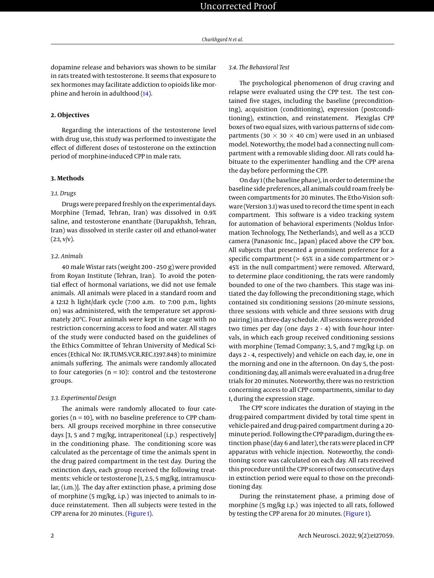dopamine release and behaviors was shown to be similar in rats treated with testosterone. It seems that exposure to sex hormones may facilitate addiction to opioids like morphine and heroin in adulthood [\(14\)](#page-5-10).

### **2. Objectives**

Regarding the interactions of the testosterone level with drug use, this study was performed to investigate the effect of different doses of testosterone on the extinction period of morphine-induced CPP in male rats.

#### **3. Methods**

#### *3.1. Drugs*

Drugs were prepared freshly on the experimental days. Morphine (Temad, Tehran, Iran) was dissolved in 0.9% saline, and testosterone enanthate (Darupakhsh, Tehran, Iran) was dissolved in sterile caster oil and ethanol-water  $(2:1, v/v)$ .

#### *3.2. Animals*

40 male Wistar rats (weight 200 - 250 g) were provided from Royan Institute (Tehran, Iran). To avoid the potential effect of hormonal variations, we did not use female animals. All animals were placed in a standard room and a 12:12 h light/dark cycle (7:00 a.m. to 7:00 p.m., lights on) was administered, with the temperature set approximately 20ºC. Four animals were kept in one cage with no restriction concerning access to food and water. All stages of the study were conducted based on the guidelines of the Ethics Committee of Tehran University of Medical Sciences (Ethical No: IR.TUMS.VCR.REC.1397.848) to minimize animals suffering. The animals were randomly allocated to four categories ( $n = 10$ ): control and the testosterone groups.

#### *3.3. Experimental Design*

The animals were randomly allocated to four categories ( $n = 10$ ), with no baseline preference to CPP chambers. All groups received morphine in three consecutive days [3, 5 and 7 mg/kg, intraperitoneal (i.p.) respectively] in the conditioning phase. The conditioning score was calculated as the percentage of time the animals spent in the drug paired compartment in the test day. During the extinction days, each group received the following treatments: vehicle or testosterone [1, 2.5, 5 mg/kg, intramuscular, (i.m.)]. The day after extinction phase, a priming dose of morphine (5 mg/kg, i.p.) was injected to animals to induce reinstatement. Then all subjects were tested in the CPP arena for 20 minutes. [\(Figure 1\)](#page-2-0).

# *3.4. The Behavioral Test*

The psychological phenomenon of drug craving and relapse were evaluated using the CPP test. The test contained five stages, including the baseline (preconditioning), acquisition (conditioning), expression (postconditioning), extinction, and reinstatement. Plexiglas CPP boxes of two equal sizes, with various patterns of side compartments (30  $\times$  30  $\times$  40 cm) were used in an unbiased model. Noteworthy, the model had a connecting null compartment with a removable sliding door. All rats could habituate to the experimenter handling and the CPP arena the day before performing the CPP.

On day 1 (the baseline phase), in order to determine the baseline side preferences, all animals could roam freely between compartments for 20 minutes. The Etho-Vision software (Version 3.1) was used to record the time spent in each compartment. This software is a video tracking system for automation of behavioral experiments (Noldus Information Technology, The Netherlands), and well as a 3CCD camera (Panasonic Inc., Japan) placed above the CPP box. All subjects that presented a prominent preference for a specific compartment (> 65% in a side compartment or > 45% in the null compartment) were removed. Afterward, to determine place conditioning, the rats were randomly bounded to one of the two chambers. This stage was initiated the day following the preconditioning stage, which contained six conditioning sessions (20-minute sessions, three sessions with vehicle and three sessions with drug pairing) in a three-day schedule. All sessions were provided two times per day (one days 2 - 4) with four-hour intervals, in which each group received conditioning sessions with morphine (Temad Company; 3, 5, and 7 mg/kg i.p. on days 2 - 4, respectively) and vehicle on each day, ie, one in the morning and one in the afternoon. On day 5, the postconditioning day, all animals were evaluated in a drug-free trials for 20 minutes. Noteworthy, there was no restriction concerning access to all CPP compartments, similar to day 1, during the expression stage.

The CPP score indicates the duration of staying in the drug-paired compartment divided by total time spent in vehicle-paired and drug-paired compartment during a 20 minute period. Following the CPP paradigm, during the extinction phase (day 6 and later), the rats were placed in CPP apparatus with vehicle injection. Noteworthy, the conditioning score was calculated on each day. All rats received this procedure until the CPP scores of two consecutive days in extinction period were equal to those on the preconditioning day.

During the reinstatement phase, a priming dose of morphine (5 mg/kg i.p.) was injected to all rats, followed by testing the CPP arena for 20 minutes. [\(Figure 1\)](#page-2-0).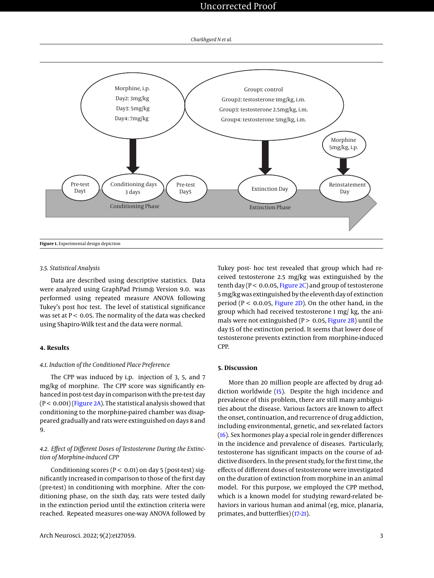# Uncorrected Proof

*Charkhgard N et al.*

<span id="page-2-0"></span>

# *3.5. Statistical Analysis*

Data are described using descriptive statistics. Data were analyzed using GraphPad Prism® Version 9.0. was performed using repeated measure ANOVA following Tukey's post hoc test. The level of statistical significance was set at  $P < 0.05$ . The normality of the data was checked using Shapiro-Wilk test and the data were normal.

# **4. Results**

# *4.1. Induction of the Conditioned Place Preference*

The CPP was induced by i.p. injection of 3, 5, and 7 mg/kg of morphine. The CPP score was significantly enhanced in post-test day in comparison with the pre-test day  $(P < 0.001)$  [\(Figure 2A\)](#page-3-0). The statistical analysis showed that conditioning to the morphine-paired chamber was disappeared gradually and rats were extinguished on days 8 and 9.

# *4.2. Effect of Different Doses of Testosterone During the Extinction of Morphine-induced CPP*

Conditioning scores ( $P < 0.01$ ) on day 5 (post-test) significantly increased in comparison to those of the first day (pre-test) in conditioning with morphine. After the conditioning phase, on the sixth day, rats were tested daily in the extinction period until the extinction criteria were reached. Repeated measures one-way ANOVA followed by

Tukey post- hoc test revealed that group which had received testosterone 2.5 mg/kg was extinguished by the tenth day ( $P < 0.0.05$ , [Figure 2C\)](#page-3-0) and group of testosterone 5 mg/kg was extinguished by the eleventh day of extinction period ( $P < 0.0.05$ , [Figure 2D\)](#page-3-0). On the other hand, in the group which had received testosterone 1 mg/ kg, the animals were not extinguished ( $P > 0.05$ , [Figure 2B\)](#page-3-0) until the day 15 of the extinction period. It seems that lower dose of testosterone prevents extinction from morphine-induced CPP.

# **5. Discussion**

More than 20 million people are affected by drug addiction worldwide [\(15\)](#page-5-11). Despite the high incidence and prevalence of this problem, there are still many ambiguities about the disease. Various factors are known to affect the onset, continuation, and recurrence of drug addiction, including environmental, genetic, and sex-related factors [\(16\)](#page-5-12). Sex hormones play a special role in gender differences in the incidence and prevalence of diseases. Particularly, testosterone has significant impacts on the course of addictive disorders. In the present study, for the first time, the effects of different doses of testosterone were investigated on the duration of extinction from morphine in an animal model. For this purpose, we employed the CPP method, which is a known model for studying reward-related behaviors in various human and animal (eg, mice, planaria, primates, and butterflies) [\(17](#page-5-13)[-21\)](#page-5-14).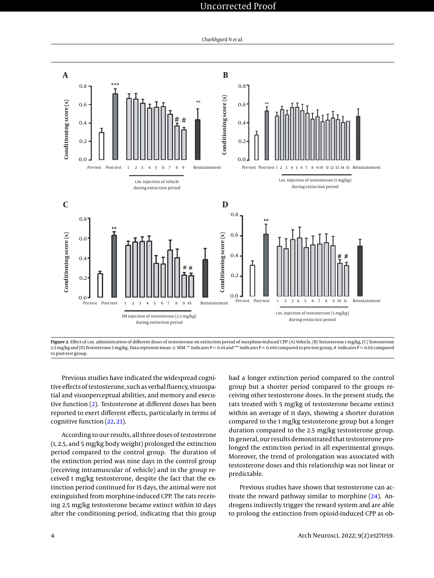# Uncorrected Proof

*Charkhgard N et al.*

<span id="page-3-0"></span>



Previous studies have indicated the widespread cognitive effects of testosterone, such as verbal fluency, visuospatial and visuoperceptual abilities, and memory and executive function [\(2\)](#page-5-15). Testosterone at different doses has been reported to exert different effects, particularly in terms of cognitive function [\(22,](#page-5-16) [23\)](#page-5-17).

According to our results, all three doses of testosterone (1, 2.5, and 5 mg/kg body weight) prolonged the extinction period compared to the control group. The duration of the extinction period was nine days in the control group (receiving intramuscular of vehicle) and in the group received 1 mg/kg testosterone, despite the fact that the extinction period continued for 15 days, the animal were not extinguished from morphine-induced CPP. The rats receiving 2.5 mg/kg testosterone became extinct within 10 days after the conditioning period, indicating that this group

had a longer extinction period compared to the control group but a shorter period compared to the groups receiving other testosterone doses. In the present study, the rats treated with 5 mg/kg of testosterone became extinct within an average of 11 days, showing a shorter duration compared to the 1 mg/kg testosterone group but a longer duration compared to the 2.5 mg/kg testosterone group. In general, our results demonstrated that testosterone prolonged the extinction period in all experimental groups. Moreover, the trend of prolongation was associated with testosterone doses and this relationship was not linear or predictable.

Previous studies have shown that testosterone can activate the reward pathway similar to morphine  $(24)$ . Androgens indirectly trigger the reward system and are able to prolong the extinction from opioid-induced CPP as ob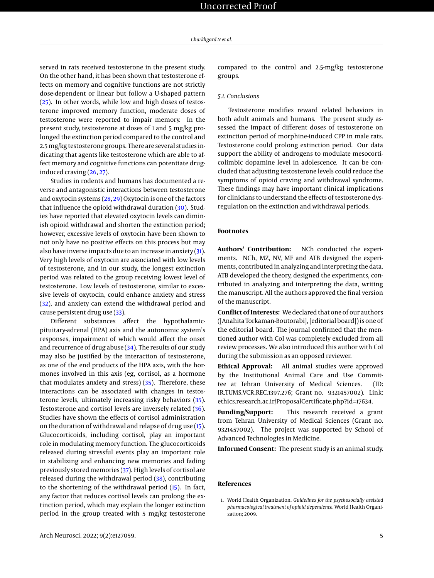served in rats received testosterone in the present study. On the other hand, it has been shown that testosterone effects on memory and cognitive functions are not strictly dose-dependent or linear but follow a U-shaped pattern [\(25\)](#page-5-19). In other words, while low and high doses of testosterone improved memory function, moderate doses of testosterone were reported to impair memory. In the present study, testosterone at doses of 1 and 5 mg/kg prolonged the extinction period compared to the control and 2.5 mg/kg testosterone groups. There are several studies indicating that agents like testosterone which are able to affect memory and cognitive functions can potentiate druginduced craving [\(26,](#page-5-20) [27\)](#page-5-21).

Studies in rodents and humans has documented a reverse and antagonistic interactions between testosterone and oxytocin systems [\(28,](#page-5-22) [29\)](#page-5-23) Oxytocin is one of the factors that influence the opioid withdrawal duration [\(30\)](#page-5-24). Studies have reported that elevated oxytocin levels can diminish opioid withdrawal and shorten the extinction period; however, excessive levels of oxytocin have been shown to not only have no positive effects on this process but may also have inverse impacts due to an increase in anxiety [\(31\)](#page-5-25). Very high levels of oxytocin are associated with low levels of testosterone, and in our study, the longest extinction period was related to the group receiving lowest level of testosterone. Low levels of testosterone, similar to excessive levels of oxytocin, could enhance anxiety and stress [\(32\)](#page-5-26), and anxiety can extend the withdrawal period and cause persistent drug use [\(33\)](#page-5-27).

Different substances affect the hypothalamicpituitary-adrenal (HPA) axis and the autonomic system's responses, impairment of which would affect the onset and recurrence of drug abuse [\(34\)](#page-6-0). The results of our study may also be justified by the interaction of testosterone, as one of the end products of the HPA axis, with the hormones involved in this axis (eg, cortisol, as a hormone that modulates anxiety and stress)  $(35)$ . Therefore, these interactions can be associated with changes in testosterone levels, ultimately increasing risky behaviors [\(35\)](#page-6-1). Testosterone and cortisol levels are inversely related [\(36\)](#page-6-2). Studies have shown the effects of cortisol administration on the duration of withdrawal and relapse of drug use [\(15\)](#page-5-11). Glucocorticoids, including cortisol, play an important role in modulating memory function. The glucocorticoids released during stressful events play an important role in stabilizing and enhancing new memories and fading previously stored memories [\(37\)](#page-6-3). High levels of cortisol are released during the withdrawal period [\(38\)](#page-6-4), contributing to the shortening of the withdrawal period [\(15\)](#page-5-11). In fact, any factor that reduces cortisol levels can prolong the extinction period, which may explain the longer extinction period in the group treated with 5 mg/kg testosterone

compared to the control and 2.5-mg/kg testosterone groups.

## *5.1. Conclusions*

Testosterone modifies reward related behaviors in both adult animals and humans. The present study assessed the impact of different doses of testosterone on extinction period of morphine-induced CPP in male rats. Testosterone could prolong extinction period. Our data support the ability of androgens to modulate mesocorticolimbic dopamine level in adolescence. It can be concluded that adjusting testosterone levels could reduce the symptoms of opioid craving and withdrawal syndrome. These findings may have important clinical implications for clinicians to understand the effects of testosterone dysregulation on the extinction and withdrawal periods.

# **Footnotes**

**Authors' Contribution:** NCh conducted the experiments. NCh, MZ, NV, MF and ATB designed the experiments, contributed in analyzing and interpreting the data. ATB developed the theory, designed the experiments, contributed in analyzing and interpreting the data, writing the manuscript. All the authors approved the final version of the manuscript.

**Conflict of Interests:** We declared that one of our authors ([Anahita Torkaman-Boutorabi], [editorial board]) is one of the editorial board. The journal confirmed that the mentioned author with CoI was completely excluded from all review processes. We also introduced this author with CoI during the submission as an opposed reviewer.

**Ethical Approval:** All animal studies were approved by the Institutional Animal Care and Use Committee at Tehran University of Medical Sciences. (ID: IR.TUMS.VCR.REC.1397.276; Grant no. 9321457002). Link: ethics.research.ac.ir/ProposalCertificate.php?id=17634.

**Funding/Support:** This research received a grant from Tehran University of Medical Sciences (Grant no. 9321457002). The project was supported by School of Advanced Technologies in Medicine.

**Informed Consent:** The present study is an animal study.

#### **References**

<span id="page-4-0"></span>1. World Health Organization. *Guidelines for the psychosocially assisted pharmacological treatment of opioid dependence*. World Health Organization; 2009.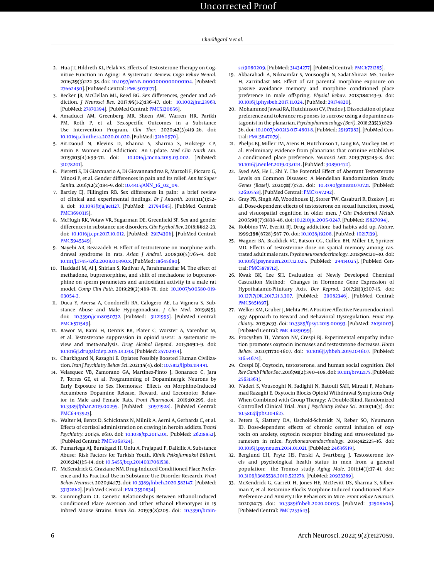- <span id="page-5-15"></span>2. Hua JT, Hildreth KL, Pelak VS. Effects of Testosterone Therapy on Cognitive Function in Aging: A Systematic Review. *Cogn Behav Neurol*. 2016;**29**(3):122–38. doi: [10.1097/WNN.0000000000000104.](http://dx.doi.org/10.1097/WNN.0000000000000104) [PubMed: [27662450\]](http://www.ncbi.nlm.nih.gov/pubmed/27662450). [PubMed Central: [PMC5079177\]](https://www.ncbi.nlm.nih.gov/pmc/articles/PMC5079177).
- <span id="page-5-1"></span>3. Becker JB, McClellan ML, Reed BG. Sex differences, gender and addiction. *J Neurosci Res*. 2017;**95**(1-2):136–47. doi: [10.1002/jnr.23963.](http://dx.doi.org/10.1002/jnr.23963) [PubMed: [27870394\]](http://www.ncbi.nlm.nih.gov/pubmed/27870394). [PubMed Central: [PMC5120656\]](https://www.ncbi.nlm.nih.gov/pmc/articles/PMC5120656).
- 4. Amaducci AM, Greenberg MR, Sheen AW, Warren HR, Parikh PM, Roth P, et al. Sex-specific Outcomes in a Substance Use Intervention Program. *Clin Ther*. 2020;**42**(3):419–26. doi: [10.1016/j.clinthera.2020.01.020.](http://dx.doi.org/10.1016/j.clinthera.2020.01.020) [PubMed: [32160970\]](http://www.ncbi.nlm.nih.gov/pubmed/32160970).
- <span id="page-5-0"></span>5. Ait-Daoud N, Blevins D, Khanna S, Sharma S, Holstege CP, Amin P. Women and Addiction: An Update. *Med Clin North Am*. 2019;**103**(4):699–711. doi: [10.1016/j.mcna.2019.03.002.](http://dx.doi.org/10.1016/j.mcna.2019.03.002) [PubMed: [31078201\]](http://www.ncbi.nlm.nih.gov/pubmed/31078201).
- <span id="page-5-2"></span>6. Pieretti S, Di Giannuario A, Di Giovannandrea R, Marzoli F, Piccaro G, Minosi P, et al. Gender differences in pain and its relief. *Ann Ist Super Sanita*. 2016;**52**(2):184–9. doi: [10.4415/ANN\\_16\\_02\\_09.](http://dx.doi.org/10.4415/ANN_16_02_09)
- <span id="page-5-3"></span>7. Bartley EJ, Fillingim RB. Sex differences in pain: a brief review of clinical and experimental findings. *Br J Anaesth*. 2013;**111**(1):52– 8. doi: [10.1093/bja/aet127.](http://dx.doi.org/10.1093/bja/aet127) [PubMed: [23794645\]](http://www.ncbi.nlm.nih.gov/pubmed/23794645). [PubMed Central: [PMC3690315\]](https://www.ncbi.nlm.nih.gov/pmc/articles/PMC3690315).
- <span id="page-5-4"></span>8. McHugh RK, Votaw VR, Sugarman DE, Greenfield SF. Sex and gender differences in substance use disorders. *Clin Psychol Rev*. 2018;**66**:12–23. doi: [10.1016/j.cpr.2017.10.012.](http://dx.doi.org/10.1016/j.cpr.2017.10.012) [PubMed: [29174306\]](http://www.ncbi.nlm.nih.gov/pubmed/29174306). [PubMed Central: [PMC5945349\]](https://www.ncbi.nlm.nih.gov/pmc/articles/PMC5945349).
- <span id="page-5-5"></span>9. Nayebi AR, Rezazadeh H. Effect of testosterone on morphine withdrawal syndrome in rats. *Asian J Androl*. 2008;**10**(5):765–9. doi: [10.1111/j.1745-7262.2008.00390.x.](http://dx.doi.org/10.1111/j.1745-7262.2008.00390.x) [PubMed: [18645680\]](http://www.ncbi.nlm.nih.gov/pubmed/18645680).
- <span id="page-5-6"></span>10. Haddadi M, Ai J, Shirian S, Kadivar A, Farahmandfar M. The effect of methadone, buprenorphine, and shift of methadone to buprenorphine on sperm parameters and antioxidant activity in a male rat model. *Comp Clin Path*. 2019;**29**(2):469–76. doi: [10.1007/s00580-019-](http://dx.doi.org/10.1007/s00580-019-03054-2) [03054-2.](http://dx.doi.org/10.1007/s00580-019-03054-2)
- <span id="page-5-7"></span>11. Duca Y, Aversa A, Condorelli RA, Calogero AE, La Vignera S. Substance Abuse and Male Hypogonadism. *J Clin Med*. 2019;**8**(5). doi: [10.3390/jcm8050732.](http://dx.doi.org/10.3390/jcm8050732) [PubMed: [31121993\]](http://www.ncbi.nlm.nih.gov/pubmed/31121993). [PubMed Central: [PMC6571549\]](https://www.ncbi.nlm.nih.gov/pmc/articles/PMC6571549).
- <span id="page-5-8"></span>12. Bawor M, Bami H, Dennis BB, Plater C, Worster A, Varenbut M, et al. Testosterone suppression in opioid users: a systematic review and meta-analysis. *Drug Alcohol Depend*. 2015;**149**:1–9. doi: [10.1016/j.drugalcdep.2015.01.038.](http://dx.doi.org/10.1016/j.drugalcdep.2015.01.038) [PubMed: [25702934\]](http://www.ncbi.nlm.nih.gov/pubmed/25702934).
- <span id="page-5-9"></span>13. Charkhgard N, Razaghi E. Opiates Possibly Boosted Human Civilization. *Iran J Psychiatry Behav Sci*. 2021;**15**(4). doi: [10.5812/ijpbs.114491.](http://dx.doi.org/10.5812/ijpbs.114491)
- <span id="page-5-10"></span>14. Velasquez VB, Zamorano GA, Martinez-Pinto J, Bonansco C, Jara P, Torres GE, et al. Programming of Dopaminergic Neurons by Early Exposure to Sex Hormones: Effects on Morphine-Induced Accumbens Dopamine Release, Reward, and Locomotor Behavior in Male and Female Rats. *Front Pharmacol*. 2019;**10**:295. doi: [10.3389/fphar.2019.00295.](http://dx.doi.org/10.3389/fphar.2019.00295) [PubMed: [30971928\]](http://www.ncbi.nlm.nih.gov/pubmed/30971928). [PubMed Central: [PMC6443923\]](https://www.ncbi.nlm.nih.gov/pmc/articles/PMC6443923).
- <span id="page-5-11"></span>15. Walter M, Bentz D, Schicktanz N, Milnik A, Aerni A, Gerhards C, et al. Effects of cortisol administration on craving in heroin addicts. *Transl Psychiatry*. 2015;**5**. e610. doi: [10.1038/tp.2015.101.](http://dx.doi.org/10.1038/tp.2015.101) [PubMed: [26218852\]](http://www.ncbi.nlm.nih.gov/pubmed/26218852). [PubMed Central: [PMC5068724\]](https://www.ncbi.nlm.nih.gov/pmc/articles/PMC5068724).
- <span id="page-5-12"></span>16. Pumariega AJ, Burakgazi H, Unlu A, Prajapati P, Dalkilic A. Substance Abuse: Risk Factors for Turkish Youth. *Klinik Psikofarmakol Bülteni*. 2016;**24**(1):5–14. doi: [10.5455/bcp.20140317061538.](http://dx.doi.org/10.5455/bcp.20140317061538)
- <span id="page-5-13"></span>17. McKendrick G, Graziane NM. Drug-Induced Conditioned Place Preference and Its Practical Use in Substance Use Disorder Research. *Front Behav Neurosci*. 2020;**14**:173. doi: [10.3389/fnbeh.2020.582147.](http://dx.doi.org/10.3389/fnbeh.2020.582147) [PubMed: [33132862\]](http://www.ncbi.nlm.nih.gov/pubmed/33132862). [PubMed Central: [PMC7550834\]](https://www.ncbi.nlm.nih.gov/pmc/articles/PMC7550834).
- 18. Cunningham CL. Genetic Relationships Between Ethanol-Induced Conditioned Place Aversion and Other Ethanol Phenotypes in 15 Inbred Mouse Strains. *Brain Sci*. 2019;**9**(8):209. doi: [10.3390/brain-](http://dx.doi.org/10.3390/brainsci9080209)

[sci9080209.](http://dx.doi.org/10.3390/brainsci9080209) [PubMed: [31434277\]](http://www.ncbi.nlm.nih.gov/pubmed/31434277). [PubMed Central: [PMC6721285\]](https://www.ncbi.nlm.nih.gov/pmc/articles/PMC6721285).

- 19. Akbarabadi A, Niknamfar S, Vousooghi N, Sadat-Shirazi MS, Toolee H, Zarrindast MR. Effect of rat parental morphine exposure on passive avoidance memory and morphine conditioned place preference in male offspring. *Physiol Behav*. 2018;**184**:143–9. doi: [10.1016/j.physbeh.2017.11.024.](http://dx.doi.org/10.1016/j.physbeh.2017.11.024) [PubMed: [29174820\]](http://www.ncbi.nlm.nih.gov/pubmed/29174820).
- 20. Mohammed Jawad RA, Hutchinson CV, Prados J. Dissociation of place preference and tolerance responses to sucrose using a dopamine antagonist in the planarian. *Psychopharmacology (Berl)*. 2018;**235**(3):829– 36. doi: [10.1007/s00213-017-4801-8.](http://dx.doi.org/10.1007/s00213-017-4801-8) [PubMed: [29197982\]](http://www.ncbi.nlm.nih.gov/pubmed/29197982). [PubMed Central: [PMC5847079\]](https://www.ncbi.nlm.nih.gov/pmc/articles/PMC5847079).
- <span id="page-5-14"></span>21. Phelps BJ, Miller TM, Arens H, Hutchinson T, Lang KA, Muckey LM, et al. Preliminary evidence from planarians that cotinine establishes a conditioned place preference. *Neurosci Lett*. 2019;**703**:145–8. doi: [10.1016/j.neulet.2019.03.024.](http://dx.doi.org/10.1016/j.neulet.2019.03.024) [PubMed: [30890472\]](http://www.ncbi.nlm.nih.gov/pubmed/30890472).
- <span id="page-5-16"></span>22. Syed AAS, He L, Shi Y. The Potential Effect of Aberrant Testosterone Levels on Common Diseases: A Mendelian Randomization Study. *Genes (Basel)*. 2020;**11**(7):721. doi: [10.3390/genes11070721.](http://dx.doi.org/10.3390/genes11070721) [PubMed: [32610558\]](http://www.ncbi.nlm.nih.gov/pubmed/32610558). [PubMed Central: [PMC7397292\]](https://www.ncbi.nlm.nih.gov/pmc/articles/PMC7397292).
- <span id="page-5-17"></span>23. Gray PB, Singh AB, Woodhouse LJ, Storer TW, Casaburi R, Dzekov J, et al. Dose-dependent effects of testosterone on sexual function, mood, and visuospatial cognition in older men. *J Clin Endocrinol Metab*. 2005;**90**(7):3838–46. doi: [10.1210/jc.2005-0247.](http://dx.doi.org/10.1210/jc.2005-0247) [PubMed: [15827094\]](http://www.ncbi.nlm.nih.gov/pubmed/15827094).
- <span id="page-5-18"></span>24. Robbins TW, Everitt BJ. Drug addiction: bad habits add up. *Nature*. 1999;**398**(6728):567–70. doi: [10.1038/19208.](http://dx.doi.org/10.1038/19208) [PubMed: [10217139\]](http://www.ncbi.nlm.nih.gov/pubmed/10217139).
- <span id="page-5-19"></span>25. Wagner BA, Braddick VC, Batson CG, Cullen BH, Miller LE, Spritzer MD. Effects of testosterone dose on spatial memory among castrated adult male rats. *Psychoneuroendocrinology*. 2018;**89**:120–30. doi: [10.1016/j.psyneuen.2017.12.025.](http://dx.doi.org/10.1016/j.psyneuen.2017.12.025) [PubMed: [29414025\]](http://www.ncbi.nlm.nih.gov/pubmed/29414025). [PubMed Central: [PMC5878712\]](https://www.ncbi.nlm.nih.gov/pmc/articles/PMC5878712).
- <span id="page-5-20"></span>26. Kwak BK, Lee SH. Evaluation of Newly Developed Chemical Castration Method: Changes in Hormone Gene Expression of Hypothalamic-Pituitary Axis. *Dev Reprod*. 2017;**21**(3):307–15. doi: [10.12717/DR.2017.21.3.307.](http://dx.doi.org/10.12717/DR.2017.21.3.307) [PubMed: [29082346\]](http://www.ncbi.nlm.nih.gov/pubmed/29082346). [PubMed Central: [PMC5651697\]](https://www.ncbi.nlm.nih.gov/pmc/articles/PMC5651697).
- <span id="page-5-21"></span>27. Welker KM, Gruber J, Mehta PH. A Positive Affective Neuroendocrinology Approach to Reward and Behavioral Dysregulation. *Front Psychiatry*. 2015;**6**:93. doi: [10.3389/fpsyt.2015.00093.](http://dx.doi.org/10.3389/fpsyt.2015.00093) [PubMed: [26191007\]](http://www.ncbi.nlm.nih.gov/pubmed/26191007). [PubMed Central: [PMC4489099\]](https://www.ncbi.nlm.nih.gov/pmc/articles/PMC4489099).
- <span id="page-5-22"></span>28. Procyshyn TL, Watson NV, Crespi BJ. Experimental empathy induction promotes oxytocin increases and testosterone decreases. *Horm Behav*. 2020;**117**:104607. doi: [10.1016/j.yhbeh.2019.104607.](http://dx.doi.org/10.1016/j.yhbeh.2019.104607) [PubMed: [31654674\]](http://www.ncbi.nlm.nih.gov/pubmed/31654674).
- <span id="page-5-23"></span>29. Crespi BJ. Oxytocin, testosterone, and human social cognition. *Biol Rev Camb Philos Soc*. 2016;**91**(2):390–408. doi: [10.1111/brv.12175.](http://dx.doi.org/10.1111/brv.12175) [PubMed: [25631363\]](http://www.ncbi.nlm.nih.gov/pubmed/25631363).
- <span id="page-5-24"></span>30. Naderi S, Vousooghi N, Sadighii N, Batouli SAH, Mirzaii F, Mohammad Razaghi E. Oxytocin Blocks Opioid Withdrawal Symptoms Only When Combined with Group Therapy: A Double-Blind, Randomized Controlled Clinical Trial. *Iran J Psychiatry Behav Sci*. 2020;**14**(3). doi: [10.5812/ijpbs.104627.](http://dx.doi.org/10.5812/ijpbs.104627)
- <span id="page-5-25"></span>31. Peters S, Slattery DA, Uschold-Schmidt N, Reber SO, Neumann ID. Dose-dependent effects of chronic central infusion of oxytocin on anxiety, oxytocin receptor binding and stress-related parameters in mice. *Psychoneuroendocrinology*. 2014;**42**:225–36. doi: [10.1016/j.psyneuen.2014.01.021.](http://dx.doi.org/10.1016/j.psyneuen.2014.01.021) [PubMed: [24636519\]](http://www.ncbi.nlm.nih.gov/pubmed/24636519).
- <span id="page-5-26"></span>32. Berglund LH, Prytz HS, Perski A, Svartberg J. Testosterone levels and psychological health status in men from a general population: the Tromso study. *Aging Male*. 2011;**14**(1):37–41. doi: [10.3109/13685538.2010.522276.](http://dx.doi.org/10.3109/13685538.2010.522276) [PubMed: [20923289\]](http://www.ncbi.nlm.nih.gov/pubmed/20923289).
- <span id="page-5-27"></span>33. McKendrick G, Garrett H, Jones HE, McDevitt DS, Sharma S, Silberman Y, et al. Ketamine Blocks Morphine-Induced Conditioned Place Preference and Anxiety-Like Behaviors in Mice. *Front Behav Neurosci*. 2020;**14**:75. doi: [10.3389/fnbeh.2020.00075.](http://dx.doi.org/10.3389/fnbeh.2020.00075) [PubMed: [32508606\]](http://www.ncbi.nlm.nih.gov/pubmed/32508606). [PubMed Central: [PMC7253643\]](https://www.ncbi.nlm.nih.gov/pmc/articles/PMC7253643).